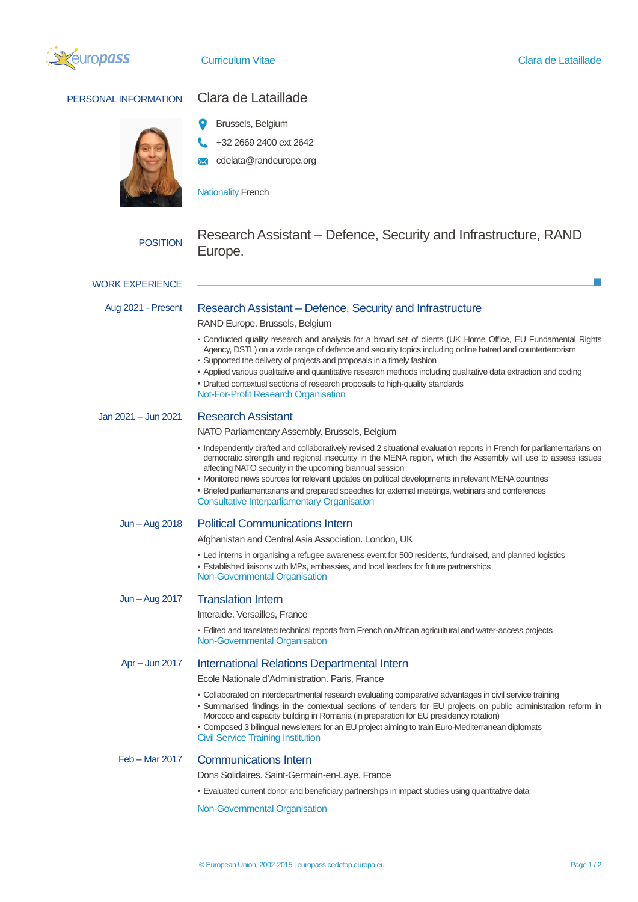

## PERSONAL INFORMATION Clara de Lataillade



- Brussels, Belgium
- +32 2669 2400 ext 2642
- cdelata@randeurope.org

**Nationality French** 

# POSITION Research Assistant – Defence, Security and Infrastructure, RAND Europe.

## Aug 2021 - Present Research Assistant – Defence, Security and Infrastructure

RAND Europe. Brussels, Belgium

- Conducted quality research and analysis for a broad set of clients (UK Home Office, EU Fundamental Rights Agency, DSTL) on a wide range of defence and security topics including online hatred and counterterrorism
- Supported the delivery of projects and proposals in a timely fashion
- Applied various qualitative and quantitative research methods including qualitative data extraction and coding
- Drafted contextual sections of research proposals to high-quality standards
- Not-For-Profit Research Organisation

Jan 2021 – Jun 2021 Research Assistant

NATO Parliamentary Assembly. Brussels, Belgium

- Independently drafted and collaboratively revised 2 situational evaluation reports in French for parliamentarians on democratic strength and regional insecurity in the MENA region, which the Assembly will use to assess issues affecting NATO security in the upcoming biannual session
- Monitored news sources for relevant updates on political developments in relevant MENA countries
- Briefed parliamentarians and prepared speeches for external meetings, webinars and conferences Consultative Interparliamentary Organisation

### Jun –Aug 2018 Political Communications Intern

Afghanistan and Central Asia Association. London, UK

- Led interns in organising a refugee awareness event for 500 residents, fundraised, and planned logistics
- **Established liaisons with MPs, embassies, and local leaders for future partnerships**
- Non-Governmental Organisation

#### Jun –Aug 2017 Translation Intern

Interaide. Versailles, France

**Edited and translated technical reports from French on African agricultural and water-access projects** Non-Governmental Organisation

#### Apr – Jun 2017 International Relations Departmental Intern

Ecole Nationale d'Administration. Paris, France

- Collaborated on interdepartmental research evaluating comparative advantages in civil service training
- Summarised findings in the contextual sections of tenders for EU projects on public administration reform in Morocco and capacity building in Romania (in preparation for EU presidency rotation)
- Composed 3 bilingual newsletters for an EU project aiming to train Euro-Mediterranean diplomats Civil Service Training Institution

Feb – Mar 2017 Communications Intern

Dons Solidaires. Saint-Germain-en-Laye, France

▪ Evaluated current donor and beneficiary partnerships in impact studies using quantitative data

Non-Governmental Organisation